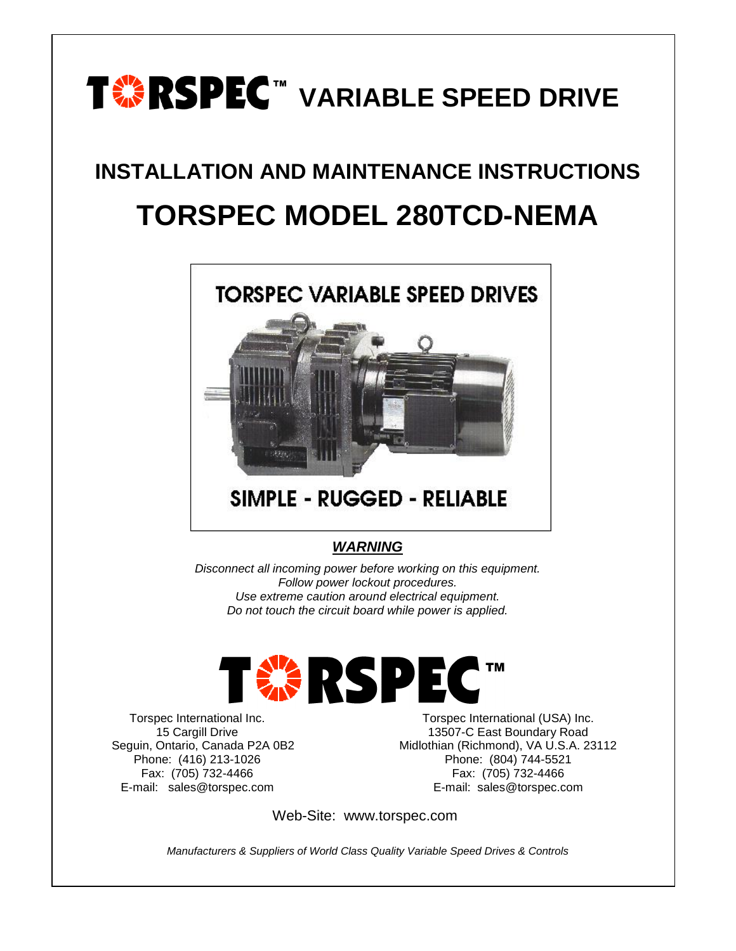

# **INSTALLATION AND MAINTENANCE INSTRUCTIONS TORSPEC MODEL 280TCD-NEMA**



## *WARNING*

*Disconnect all incoming power before working on this equipment. Follow power lockout procedures. Use extreme caution around electrical equipment. Do not touch the circuit board while power is applied.*



Torspec International Inc. 15 Cargill Drive Seguin, Ontario, Canada P2A 0B2 Phone: (416) 213-1026 Fax: (705) 732-4466 E-mail: sales@torspec.com

Torspec International (USA) Inc. 13507-C East Boundary Road Midlothian (Richmond), VA U.S.A. 23112 Phone: (804) 744-5521 Fax: (705) 732-4466 E-mail: sales@torspec.com

Web-Site: www.torspec.com

*Manufacturers & Suppliers of World Class Quality Variable Speed Drives & Controls*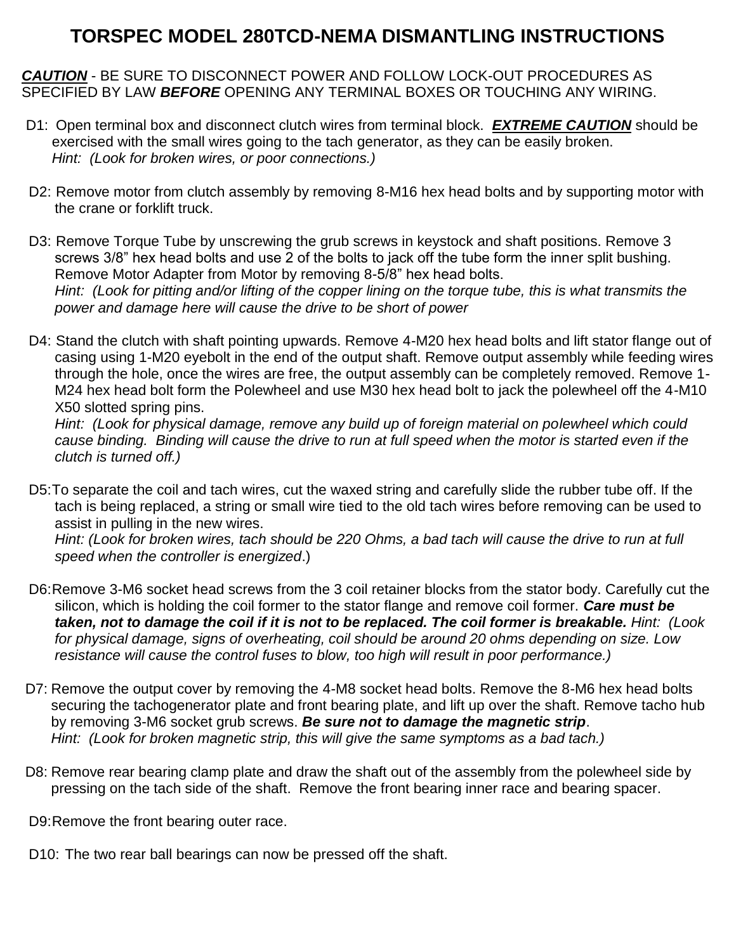## **TORSPEC MODEL 280TCD-NEMA DISMANTLING INSTRUCTIONS**

*CAUTION* - BE SURE TO DISCONNECT POWER AND FOLLOW LOCK-OUT PROCEDURES AS SPECIFIED BY LAW *BEFORE* OPENING ANY TERMINAL BOXES OR TOUCHING ANY WIRING.

- D1: Open terminal box and disconnect clutch wires from terminal block. *EXTREME CAUTION* should be exercised with the small wires going to the tach generator, as they can be easily broken. *Hint: (Look for broken wires, or poor connections.)*
- D2: Remove motor from clutch assembly by removing 8-M16 hex head bolts and by supporting motor with the crane or forklift truck.
- D3: Remove Torque Tube by unscrewing the grub screws in keystock and shaft positions. Remove 3 screws 3/8" hex head bolts and use 2 of the bolts to jack off the tube form the inner split bushing. Remove Motor Adapter from Motor by removing 8-5/8" hex head bolts. *Hint: (Look for pitting and/or lifting of the copper lining on the torque tube, this is what transmits the power and damage here will cause the drive to be short of power*
- D4: Stand the clutch with shaft pointing upwards. Remove 4-M20 hex head bolts and lift stator flange out of casing using 1-M20 eyebolt in the end of the output shaft. Remove output assembly while feeding wires through the hole, once the wires are free, the output assembly can be completely removed. Remove 1- M24 hex head bolt form the Polewheel and use M30 hex head bolt to jack the polewheel off the 4-M10 X50 slotted spring pins.

*Hint: (Look for physical damage, remove any build up of foreign material on polewheel which could cause binding. Binding will cause the drive to run at full speed when the motor is started even if the clutch is turned off.)*

D5:To separate the coil and tach wires, cut the waxed string and carefully slide the rubber tube off. If the tach is being replaced, a string or small wire tied to the old tach wires before removing can be used to assist in pulling in the new wires.

*Hint: (Look for broken wires, tach should be 220 Ohms, a bad tach will cause the drive to run at full speed when the controller is energized*.)

- D6:Remove 3-M6 socket head screws from the 3 coil retainer blocks from the stator body. Carefully cut the silicon, which is holding the coil former to the stator flange and remove coil former. *Care must be taken, not to damage the coil if it is not to be replaced. The coil former is breakable. Hint: (Look for physical damage, signs of overheating, coil should be around 20 ohms depending on size. Low resistance will cause the control fuses to blow, too high will result in poor performance.)*
- D7: Remove the output cover by removing the 4-M8 socket head bolts. Remove the 8-M6 hex head bolts securing the tachogenerator plate and front bearing plate, and lift up over the shaft. Remove tacho hub by removing 3-M6 socket grub screws. *Be sure not to damage the magnetic strip*. *Hint: (Look for broken magnetic strip, this will give the same symptoms as a bad tach.)*
- D8: Remove rear bearing clamp plate and draw the shaft out of the assembly from the polewheel side by pressing on the tach side of the shaft. Remove the front bearing inner race and bearing spacer.

D9:Remove the front bearing outer race.

D10: The two rear ball bearings can now be pressed off the shaft.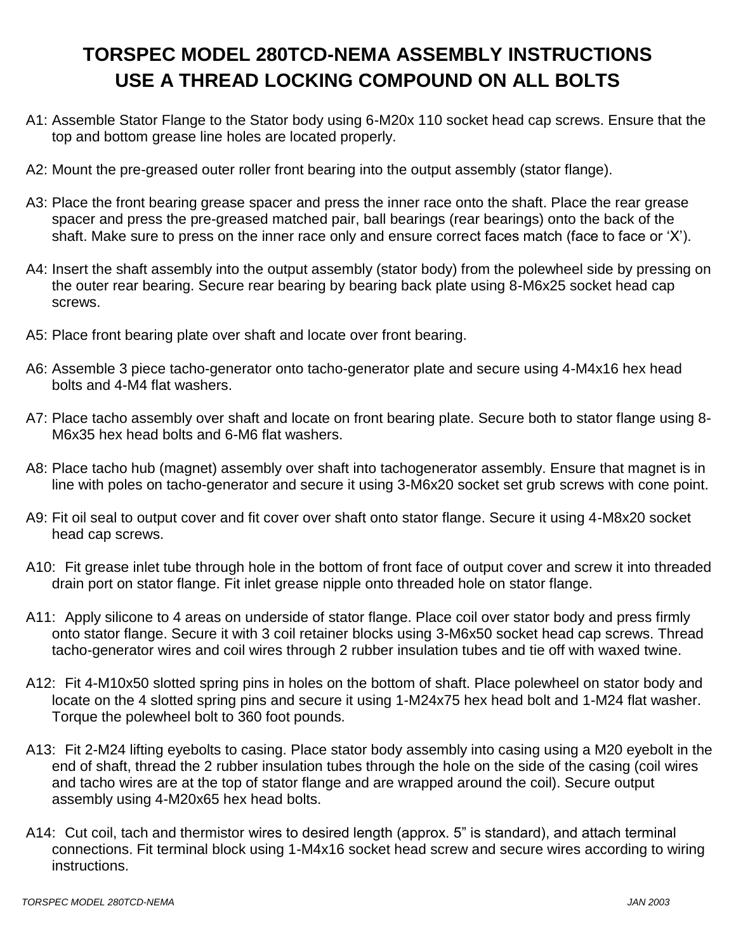## **TORSPEC MODEL 280TCD-NEMA ASSEMBLY INSTRUCTIONS USE A THREAD LOCKING COMPOUND ON ALL BOLTS**

- A1: Assemble Stator Flange to the Stator body using 6-M20x 110 socket head cap screws. Ensure that the top and bottom grease line holes are located properly.
- A2: Mount the pre-greased outer roller front bearing into the output assembly (stator flange).
- A3: Place the front bearing grease spacer and press the inner race onto the shaft. Place the rear grease spacer and press the pre-greased matched pair, ball bearings (rear bearings) onto the back of the shaft. Make sure to press on the inner race only and ensure correct faces match (face to face or 'X').
- A4: Insert the shaft assembly into the output assembly (stator body) from the polewheel side by pressing on the outer rear bearing. Secure rear bearing by bearing back plate using 8-M6x25 socket head cap screws.
- A5: Place front bearing plate over shaft and locate over front bearing.
- A6: Assemble 3 piece tacho-generator onto tacho-generator plate and secure using 4-M4x16 hex head bolts and 4-M4 flat washers.
- A7: Place tacho assembly over shaft and locate on front bearing plate. Secure both to stator flange using 8- M6x35 hex head bolts and 6-M6 flat washers.
- A8: Place tacho hub (magnet) assembly over shaft into tachogenerator assembly. Ensure that magnet is in line with poles on tacho-generator and secure it using 3-M6x20 socket set grub screws with cone point.
- A9: Fit oil seal to output cover and fit cover over shaft onto stator flange. Secure it using 4-M8x20 socket head cap screws.
- A10: Fit grease inlet tube through hole in the bottom of front face of output cover and screw it into threaded drain port on stator flange. Fit inlet grease nipple onto threaded hole on stator flange.
- A11: Apply silicone to 4 areas on underside of stator flange. Place coil over stator body and press firmly onto stator flange. Secure it with 3 coil retainer blocks using 3-M6x50 socket head cap screws. Thread tacho-generator wires and coil wires through 2 rubber insulation tubes and tie off with waxed twine.
- A12: Fit 4-M10x50 slotted spring pins in holes on the bottom of shaft. Place polewheel on stator body and locate on the 4 slotted spring pins and secure it using 1-M24x75 hex head bolt and 1-M24 flat washer. Torque the polewheel bolt to 360 foot pounds.
- A13: Fit 2-M24 lifting eyebolts to casing. Place stator body assembly into casing using a M20 eyebolt in the end of shaft, thread the 2 rubber insulation tubes through the hole on the side of the casing (coil wires and tacho wires are at the top of stator flange and are wrapped around the coil). Secure output assembly using 4-M20x65 hex head bolts.
- A14: Cut coil, tach and thermistor wires to desired length (approx. 5" is standard), and attach terminal connections. Fit terminal block using 1-M4x16 socket head screw and secure wires according to wiring instructions.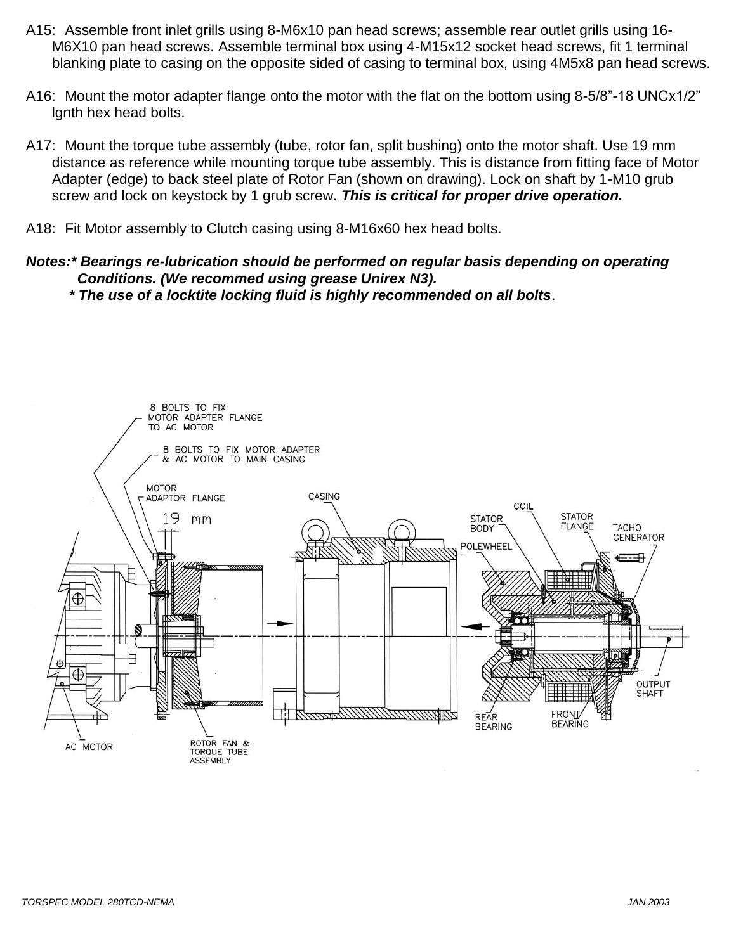- A15: Assemble front inlet grills using 8-M6x10 pan head screws; assemble rear outlet grills using 16- M6X10 pan head screws. Assemble terminal box using 4-M15x12 socket head screws, fit 1 terminal blanking plate to casing on the opposite sided of casing to terminal box, using 4M5x8 pan head screws.
- A16: Mount the motor adapter flange onto the motor with the flat on the bottom using 8-5/8"-18 UNCx1/2" lgnth hex head bolts.
- A17: Mount the torque tube assembly (tube, rotor fan, split bushing) onto the motor shaft. Use 19 mm distance as reference while mounting torque tube assembly. This is distance from fitting face of Motor Adapter (edge) to back steel plate of Rotor Fan (shown on drawing). Lock on shaft by 1-M10 grub screw and lock on keystock by 1 grub screw. *This is critical for proper drive operation.*
- A18: Fit Motor assembly to Clutch casing using 8-M16x60 hex head bolts.
- *Notes:\* Bearings re-lubrication should be performed on regular basis depending on operating Conditions. (We recommed using grease Unirex N3).* 
	- *\* The use of a locktite locking fluid is highly recommended on all bolts*.

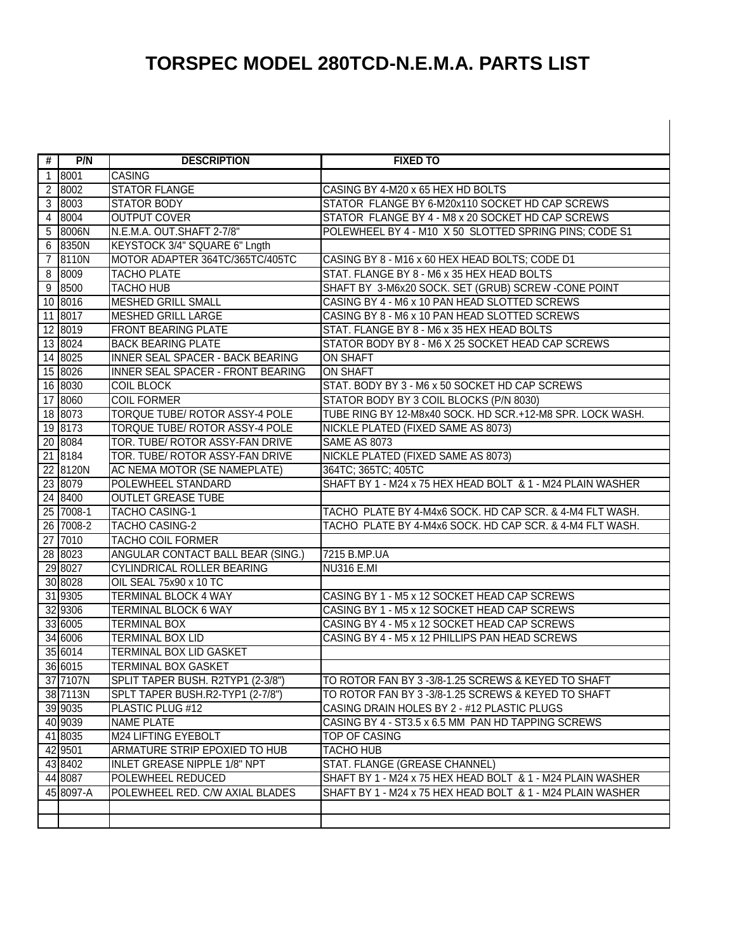# **TORSPEC MODEL 280TCD-N.E.M.A. PARTS LIST**

 $\overline{\phantom{a}}$ 

| #              | P/N                  | <b>DESCRIPTION</b>                                   | <b>FIXED TO</b>                                            |
|----------------|----------------------|------------------------------------------------------|------------------------------------------------------------|
|                | $1 \overline{8001}$  | <b>CASING</b>                                        |                                                            |
| $\overline{2}$ | 8002                 | <b>STATOR FLANGE</b>                                 | CASING BY 4-M20 x 65 HEX HD BOLTS                          |
| 3              | 8003                 | <b>STATOR BODY</b>                                   | STATOR FLANGE BY 6-M20x110 SOCKET HD CAP SCREWS            |
| $\overline{4}$ | 8004                 | <b>OUTPUT COVER</b>                                  | STATOR FLANGE BY 4 - M8 x 20 SOCKET HD CAP SCREWS          |
|                | 5 8006N              | N.E.M.A. OUT.SHAFT 2-7/8"                            | POLEWHEEL BY 4 - M10 X 50 SLOTTED SPRING PINS; CODE S1     |
|                | 6 8350N              | KEYSTOCK 3/4" SQUARE 6" Lngth                        |                                                            |
| 7              | 8110N                | MOTOR ADAPTER 364TC/365TC/405TC                      | CASING BY 8 - M16 x 60 HEX HEAD BOLTS; CODE D1             |
|                | 8 8009               | <b>TACHO PLATE</b>                                   | STAT. FLANGE BY 8 - M6 x 35 HEX HEAD BOLTS                 |
|                | 9 8500               | <b>TACHO HUB</b>                                     | SHAFT BY 3-M6x20 SOCK. SET (GRUB) SCREW -CONE POINT        |
|                | 10 8016              | <b>MESHED GRILL SMALL</b>                            | CASING BY 4 - M6 x 10 PAN HEAD SLOTTED SCREWS              |
|                | 11 8017              | <b>MESHED GRILL LARGE</b>                            | CASING BY 8 - M6 x 10 PAN HEAD SLOTTED SCREWS              |
|                | 12 8019              | <b>FRONT BEARING PLATE</b>                           | STAT. FLANGE BY 8 - M6 x 35 HEX HEAD BOLTS                 |
|                | 13 8024              | <b>BACK BEARING PLATE</b>                            | STATOR BODY BY 8 - M6 X 25 SOCKET HEAD CAP SCREWS          |
|                | $\overline{14}$ 8025 | <b>INNER SEAL SPACER - BACK BEARING</b>              | <b>ON SHAFT</b>                                            |
|                | 15 8026              | INNER SEAL SPACER - FRONT BEARING                    | <b>ON SHAFT</b>                                            |
|                | 16 8030              | <b>COIL BLOCK</b>                                    | STAT. BODY BY 3 - M6 x 50 SOCKET HD CAP SCREWS             |
|                | 17 8060              | <b>COIL FORMER</b>                                   | STATOR BODY BY 3 COIL BLOCKS (P/N 8030)                    |
|                | 18 8073              | TORQUE TUBE/ ROTOR ASSY-4 POLE                       | TUBE RING BY 12-M8x40 SOCK. HD SCR.+12-M8 SPR. LOCK WASH.  |
|                | 19 8173              | TORQUE TUBE/ ROTOR ASSY-4 POLE                       | NICKLE PLATED (FIXED SAME AS 8073)                         |
|                | 20 8084              | TOR. TUBE/ ROTOR ASSY-FAN DRIVE                      | <b>SAME AS 8073</b>                                        |
|                | 21 8184              | TOR. TUBE/ ROTOR ASSY-FAN DRIVE                      | NICKLE PLATED (FIXED SAME AS 8073)                         |
|                | 22 8120N             | AC NEMA MOTOR (SE NAMEPLATE)                         | 364TC; 365TC; 405TC                                        |
|                | 23 8079              | POLEWHEEL STANDARD                                   | SHAFT BY 1 - M24 x 75 HEX HEAD BOLT & 1 - M24 PLAIN WASHER |
|                | 24 8400              | <b>OUTLET GREASE TUBE</b>                            |                                                            |
|                | 25 7008-1            | <b>TACHO CASING-1</b>                                | TACHO PLATE BY 4-M4x6 SOCK. HD CAP SCR. & 4-M4 FLT WASH.   |
|                | 26 7008-2            | <b>TACHO CASING-2</b>                                | TACHO PLATE BY 4-M4x6 SOCK. HD CAP SCR. & 4-M4 FLT WASH.   |
|                | 27 7010              | <b>TACHO COIL FORMER</b>                             |                                                            |
|                | 28 8023              | ANGULAR CONTACT BALL BEAR (SING.)                    | 7215 B.MP.UA                                               |
|                | 29 8027              | <b>CYLINDRICAL ROLLER BEARING</b>                    | <b>NU316 E.MI</b>                                          |
|                | 30 8028              | OIL SEAL 75x90 x 10 TC                               |                                                            |
|                | 31 9305              | <b>TERMINAL BLOCK 4 WAY</b>                          | CASING BY 1 - M5 x 12 SOCKET HEAD CAP SCREWS               |
|                | 32 9306              | <b>TERMINAL BLOCK 6 WAY</b>                          | CASING BY 1 - M5 x 12 SOCKET HEAD CAP SCREWS               |
|                | 33 6005              | <b>TERMINAL BOX</b>                                  | CASING BY 4 - M5 x 12 SOCKET HEAD CAP SCREWS               |
|                | 34 6006              | <b>TERMINAL BOX LID</b>                              | CASING BY 4 - M5 x 12 PHILLIPS PAN HEAD SCREWS             |
|                | 35 6014              | <b>TERMINAL BOX LID GASKET</b>                       |                                                            |
|                | 36 6015              | <b>TERMINAL BOX GASKET</b>                           |                                                            |
|                | 37 7107N             | SPLIT TAPER BUSH. R2TYP1 (2-3/8")                    | ITO ROTOR FAN BY 3 -3/8-1.25 SCREWS & KEYED TO SHAFT       |
|                | 38 7113N             | SPLT TAPER BUSH.R2-TYP1 (2-7/8")                     | TO ROTOR FAN BY 3-3/8-1.25 SCREWS & KEYED TO SHAFT         |
|                | 39 9035              | PLASTIC PLUG #12                                     | CASING DRAIN HOLES BY 2 - #12 PLASTIC PLUGS                |
|                | 40 9039<br>41 8035   | <b>NAME PLATE</b>                                    | CASING BY 4 - ST3.5 x 6.5 MM PAN HD TAPPING SCREWS         |
|                | 42 9501              | M24 LIFTING EYEBOLT<br>ARMATURE STRIP EPOXIED TO HUB | TOP OF CASING<br><b>TACHO HUB</b>                          |
|                | 43 8402              | <b>INLET GREASE NIPPLE 1/8" NPT</b>                  | STAT. FLANGE (GREASE CHANNEL)                              |
|                | 44 8087              | POLEWHEEL REDUCED                                    | SHAFT BY 1 - M24 x 75 HEX HEAD BOLT & 1 - M24 PLAIN WASHER |
|                |                      | POLEWHEEL RED. C/W AXIAL BLADES                      |                                                            |
|                | 45 8097-A            |                                                      | SHAFT BY 1 - M24 x 75 HEX HEAD BOLT & 1 - M24 PLAIN WASHER |
|                |                      |                                                      |                                                            |
|                |                      |                                                      |                                                            |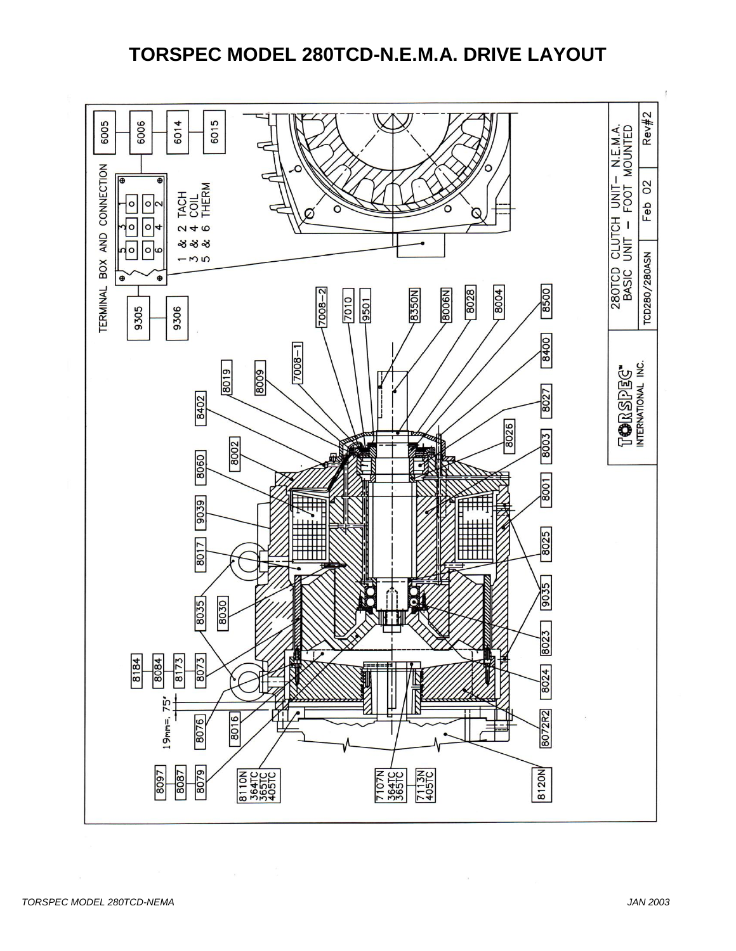## **TORSPEC MODEL 280TCD-N.E.M.A. DRIVE LAYOUT**